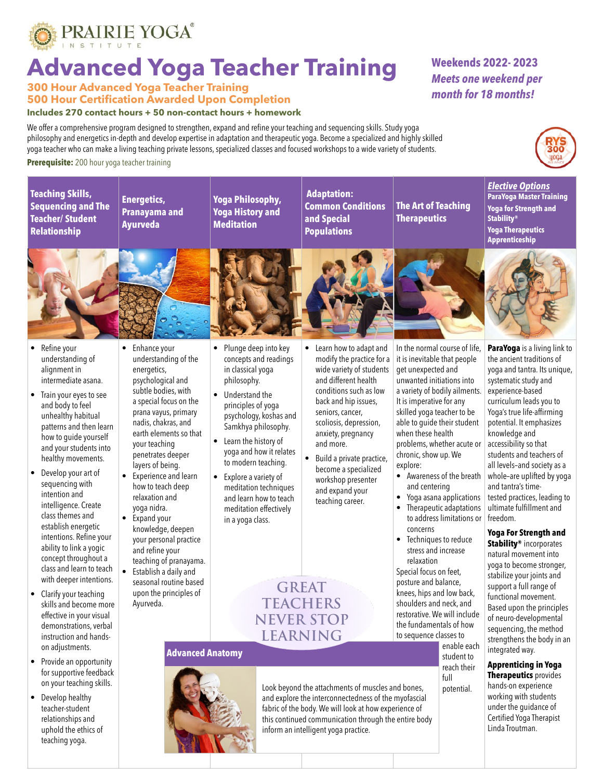

# **Advanced Yoga Teacher Training**

**300 Hour Advanced Yoga Teacher Training 500 Hour Certification Awarded Upon Completion**

#### **Includes 270 contact hours + 50 non-contact hours + homework**

We offer a comprehensive program designed to strengthen, expand and refine your teaching and sequencing skills. Study yoga philosophy and energetics in-depth and develop expertise in adaptation and therapeutic yoga. Become a specialized and highly skilled yoga teacher who can make a living teaching private lessons, specialized classes and focused workshops to a wide variety of students.

### **Prerequisite:** 200 hour yoga teacher training

**Teaching Skills, Sequencing and The Teacher/ Student Relationship**



**Yoga Philosophy, Yoga History and Meditation**

 **Adaptation: Common Conditions and Special Populations** 

**The Art of Teaching Therapeutics**



**Weekends 2022- 2023** *Meets one weekend per month for 18 months!*



- Refine your understanding of alignment in intermediate asana.
- Train your eyes to see and body to feel unhealthy habitual patterns and then learn how to guide yourself and your students into healthy movements.
- Develop your art of sequencing with intention and intelligence. Create class themes and establish energetic intentions. Refine your ability to link a yogic concept throughout a class and learn to teach with deeper intentions.
- Clarify your teaching skills and become more effective in your visual demonstrations, verbal instruction and handson adjustments.
- Provide an opportunity for supportive feedback on your teaching skills.
- Develop healthy teacher-student relationships and uphold the ethics of teaching yoga.
- Enhance your understanding of the energetics, psychological and subtle bodies, with a special focus on the prana vayus, primary nadis, chakras, and earth elements so that your teaching penetrates deeper layers of being.
- Experience and learn how to teach deep relaxation and yoga nidra.
- Expand your knowledge, deepen your personal practice and refine your teaching of pranayama. • Establish a daily and
- seasonal routine based upon the principles of Ayurveda.
- Plunge deep into key concepts and readings in classical yoga philosophy.
- Understand the principles of yoga psychology, koshas and Samkhya philosophy.
- Learn the history of yoga and how it relates to modern teaching.
- Explore a variety of meditation techniques and learn how to teach meditation effectively in a yoga class.
- Learn how to adapt and modify the practice for a wide variety of students and different health conditions such as low back and hip issues, seniors, cancer, scoliosis, depression, anxiety, pregnancy
- become a specialized workshop presenter and expand your teaching career.

**GREAT TEACHERS NEVER STOP LEARNING**

### **Advanced Anatomy**



and more. Build a private practice,

it is inevitable that people get unexpected and unwanted initiations into a variety of bodily ailments. It is imperative for any skilled yoga teacher to be able to guide their student when these health problems, whether acute or chronic, show up. We explore:

In the normal course of life,

- Awareness of the breath and centering
- Yoga asana applications • Therapeutic adaptations to address limitations or concerns
- Techniques to reduce stress and increase relaxation

Special focus on feet, posture and balance, knees, hips and low back, shoulders and neck, and restorative. We will include the fundamentals of how to sequence classes to

> enable each student to reach their

 full potential. fabric of the body. We will look at how experience of this continued communication through the entire body

**ParaYoga** is a living link to the ancient traditions of yoga and tantra. Its unique, systematic study and experience-based curriculum leads you to Yoga's true life-affirming potential. It emphasizes knowledge and accessibility so that students and teachers of all levels–and society as a whole–are uplifted by yoga and tantra's timetested practices, leading to ultimate fulfillment and freedom.

#### **Yoga For Strength and Stability®** incorporates

natural movement into yoga to become stronger, stabilize your joints and support a full range of functional movement. Based upon the principles of neuro-developmental sequencing, the method strengthens the body in an integrated way.

**Apprenticing in Yoga Therapeutics** provides hands-on experience

working with students under the guidance of Certified Yoga Therapist Linda Troutman.







Look beyond the attachments of muscles and bones, and explore the interconnectedness of the myofascial

inform an intelligent yoga practice.

**ParaYoga Master Training Yoga for Strength and Stability® Yoga Therapeutics Apprenticeship**

*Elective Options*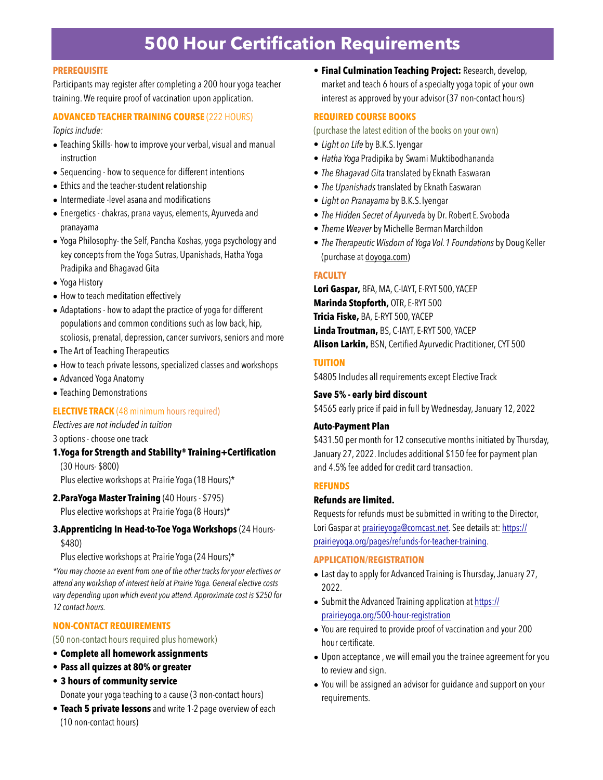# **500 Hour Certification Requirements**

#### **PREREQUISITE**

Participants may register after completing a 200 hour yoga teacher training. We require proof of vaccination upon application.

# **ADVANCED TEACHER TRAINING COURSE** (222 HOURS)

*Topics include:*

- Teaching Skills- how to improve your verbal, visual and manual instruction
- Sequencing how to sequence for different intentions
- Ethics and the teacher-student relationship
- Intermediate -level asana and modifications
- Energetics chakras, prana vayus, elements, Ayurveda and pranayama
- Yoga Philosophy- the Self, Pancha Koshas, yoga psychology and key concepts from the Yoga Sutras, Upanishads, Hatha Yoga Pradipika and Bhagavad Gita
- Yoga History
- How to teach meditation effectively
- Adaptations how to adapt the practice of yoga for different populations and common conditions such as low back, hip, scoliosis, prenatal, depression, cancer survivors, seniors and more
- The Art of Teaching Therapeutics
- How to teach private lessons, specialized classes and workshops
- Advanced Yoga Anatomy
- Teaching Demonstrations

#### **ELECTIVE TRACK** (48 minimum hours required)

*Electives are not included in tuition*

3 options - choose one track

**1.Yoga for Strength and Stability® Training+Certification**  (30 Hours- \$800)

Plus elective workshops at Prairie Yoga (18 Hours)\*

#### **2.ParaYoga Master Training** (40 Hours - \$795)

Plus elective workshops at Prairie Yoga (8 Hours)\*

### **3.Apprenticing In Head-to-Toe Yoga Workshops** (24 Hours- \$480)

Plus elective workshops at Prairie Yoga (24 Hours)\*

*\*You may choose an event from one of the other tracks for your electives or attend any workshop of interest held at Prairie Yoga. General elective costs vary depending upon which event you attend. Approximate cost is \$250 for 12 contact hours.*

#### **NON-CONTACT REQUIREMENTS**

(50 non-contact hours required plus homework)

- **• Complete all homework assignments**
- **• Pass all quizzes at 80% or greater**
- **3 hours of community service**

Donate your yoga teaching to a cause (3 non-contact hours)

• **Teach 5 private lessons** and write 1-2 page overview of each (10 non-contact hours)

• **Final Culmination Teaching Project:** Research, develop, market and teach 6 hours of a specialty yoga topic of your own interest as approved by your advisor (37 non-contact hours)

#### **REQUIRED COURSE BOOKS**

(purchase the latest edition of the books on your own)

- *Light on Life* by B.K.S. Iyengar
- *Hatha Yoga* Pradipika by Swami Muktibodhananda
- *The Bhagavad Gita* translated by Eknath Easwaran
- *The Upanishads* translated by Eknath Easwaran
- *Light on Pranayama* by B.K.S.Iyengar
- *The Hidden Secret of Ayurved*a by Dr. Robert E.Svoboda
- *Theme Weaver* by Michelle Berman Marchildon
- *The Therapeutic Wisdom of Yoga Vol. 1 Foundations* by Doug Keller (purchase at [doyoga.com](http://doyoga.com))

#### **FACULTY**

**Lori Gaspar,** BFA, MA, C-IAYT, E-RYT 500, YACEP **Marinda Stopforth,** OTR, E-RYT 500 **Tricia Fiske,** BA, E-RYT 500, YACEP **Linda Troutman,** BS, C-IAYT, E-RYT 500, YACEP **Alison Larkin,** BSN, Certified Ayurvedic Practitioner, CYT 500

#### **TUITION**

\$4805 Includes all requirements except Elective Track

#### **Save 5% - early bird discount**

\$4565 early price if paid in full by Wednesday, January 12, 2022

#### **Auto-Payment Plan**

\$431.50 per month for 12 consecutive months initiated by Thursday, January 27, 2022. Includes additional \$150 fee for payment plan and 4.5% fee added for credit card transaction.

#### **REFUNDS**

#### **Refunds are limited.**

Requests for refunds must be submitted in writing to the Director, Lori Gaspar at [prairieyoga@comcast.net.](mailto:prairieyoga@comcast.net) See details at: [https://](https://prairieyoga.org/pages/refunds-for-teacher-training) [prairieyoga.org/pages/refunds-for-teacher-training](https://prairieyoga.org/pages/refunds-for-teacher-training).

#### **APPLICATION/REGISTRATION**

- Last day to apply for Advanced Training is Thursday, January 27, 2022.
- Submit the Advanced Training application at [https://](https://prairieyoga.org/500-hour-registration) [prairieyoga.org/500-hour-registration](https://prairieyoga.org/500-hour-registration)
- You are required to provide proof of vaccination and your 200 hour certificate.
- Upon acceptance , we will email you the trainee agreement for you to review and sign.
- You will be assigned an advisor for guidance and support on your requirements.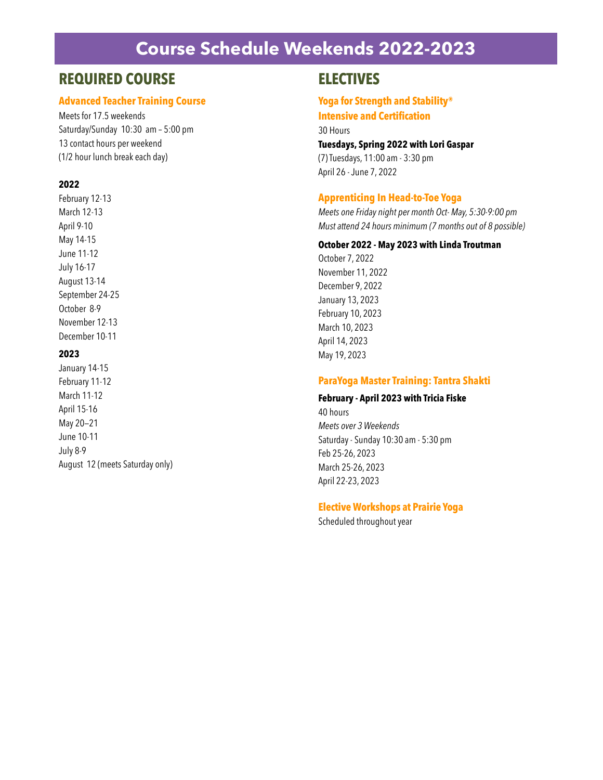# **Course Schedule Weekends 2022-2023**

# **REQUIRED COURSE**

### **Advanced Teacher Training Course**

Meets for 17.5 weekends Saturday/Sunday 10:30 am – 5:00 pm 13 contact hours per weekend (1/2 hour lunch break each day)

## **2022**

February 12-13 March 12-13 April 9-10 May 14-15 June 11-12 July 16-17 August 13-14 September 24-25 October 8-9 November 12-13 December 10-11

# **2023**

January 14-15 February 11-12 March 11-12 April 15-16 May 20—21 June 10-11 July 8-9 August 12 (meets Saturday only)

# **ELECTIVES**

## **Yoga for Strength and Stability® Intensive and Certification**

30 Hours

### **Tuesdays, Spring 2022 with Lori Gaspar**

(7) Tuesdays, 11:00 am - 3:30 pm April 26 - June 7, 2022

# **Apprenticing In Head-to-Toe Yoga**

*Meets one Friday night per month Oct- May, 5:30-9:00 pm Must attend 24 hours minimum (7 months out of 8 possible)*

### **October 2022 - May 2023 with Linda Troutman**

October 7, 2022 November 11, 2022 December 9, 2022 January 13, 2023 February 10, 2023 March 10, 2023 April 14, 2023 May 19, 2023

## **ParaYoga Master Training: Tantra Shakti**

#### **February - April 2023 with Tricia Fiske**

40 hours *Meets over 3 Weekends* Saturday - Sunday 10:30 am - 5:30 pm Feb 25-26, 2023 March 25-26, 2023 April 22-23, 2023

#### **Elective Workshops at Prairie Yoga**

Scheduled throughout year